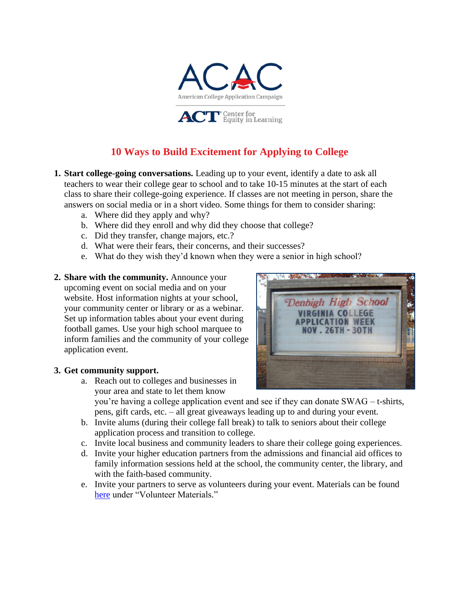

## **10 Ways to Build Excitement for Applying to College**

- **1. Start college-going conversations.** Leading up to your event, identify a date to ask all teachers to wear their college gear to school and to take 10-15 minutes at the start of each class to share their college-going experience. If classes are not meeting in person, share the answers on social media or in a short video. Some things for them to consider sharing:
	- a. Where did they apply and why?
	- b. Where did they enroll and why did they choose that college?
	- c. Did they transfer, change majors, etc.?
	- d. What were their fears, their concerns, and their successes?
	- e. What do they wish they'd known when they were a senior in high school?
- **2. Share with the community.** Announce your upcoming event on social media and on your website. Host information nights at your school, your community center or library or as a webinar. Set up information tables about your event during football games. Use your high school marquee to inform families and the community of your college application event.

#### **3. Get community support.**

a. Reach out to colleges and businesses in your area and state to let them know



you're having a college application event and see if they can donate SWAG – t-shirts, pens, gift cards, etc. – all great giveaways leading up to and during your event.

- b. Invite alums (during their college fall break) to talk to seniors about their college application process and transition to college.
- c. Invite local business and community leaders to share their college going experiences.
- d. Invite your higher education partners from the admissions and financial aid offices to family information sessions held at the school, the community center, the library, and with the faith-based community.
- e. Invite your partners to serve as volunteers during your event. Materials can be found [here](https://equityinlearning.act.org/acac/resources/state-coordinator-materials/) under "Volunteer Materials."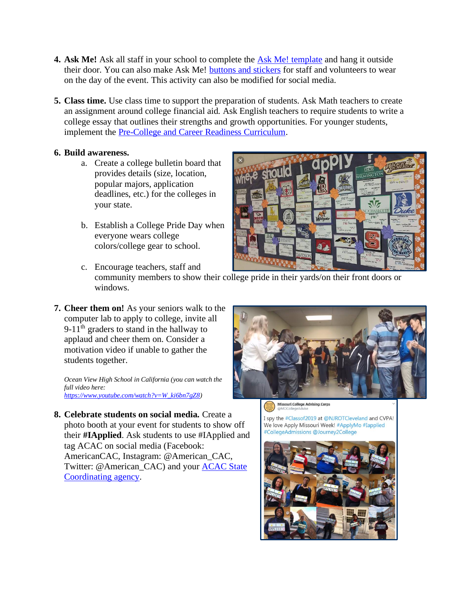- **4. Ask Me!** Ask all staff in your school to complete the **Ask Me!** template and hang it outside their door. You can also make Ask Me! [buttons and stickers](https://equityinlearning.act.org/wp-content/uploads/2020/06/Instructions-Ask-me-Buttons-and-Stickers.pdf) for staff and volunteers to wear on the day of the event. This activity can also be modified for social media.
- **5. Class time.** Use class time to support the preparation of students. Ask Math teachers to create an assignment around college financial aid. Ask English teachers to require students to write a college essay that outlines their strengths and growth opportunities. For younger students, implement the [Pre-College and Career Readiness Curriculum.](https://equityinlearning.act.org/wp-content/uploads/2019/08/2019-Pre-College-and-Career-Readiness-Curriculum-for-Students-and-their-Families_FINAL.pdf)

#### **6. Build awareness.**

- a. Create a college bulletin board that provides details (size, location, popular majors, application deadlines, etc.) for the colleges in your state.
- b. Establish a College Pride Day when everyone wears college colors/college gear to school.



- c. Encourage teachers, staff and community members to show their college pride in their yards/on their front doors or windows.
- **7. Cheer them on!** As your seniors walk to the computer lab to apply to college, invite all 9-11<sup>th</sup> graders to stand in the hallway to applaud and cheer them on. Consider a motivation video if unable to gather the students together.

*Ocean View High School in California (you can watch the full video here: [https://www.youtube.com/watch?v=W\\_ki6bn7gZ8\)](https://www.youtube.com/watch?v=W_ki6bn7gZ8)*

Missouri College Advising Corps

I spy the #Classof2019 at @NJROTCleveland and CVPA! We love Apply Missouri Week! #ApplyMo #Iapplied #CollegeAdmissions @Journey2College



**8. Celebrate students on social media.** Create a photo booth at your event for students to show off their **#IApplied**. Ask students to use #IApplied and tag ACAC on social media (Facebook: AmericanCAC, Instagram: @American\_CAC, Twitter: @American\_CAC) and your **ACAC State** [Coordinating agency.](https://equityinlearning.act.org/acac/states/)